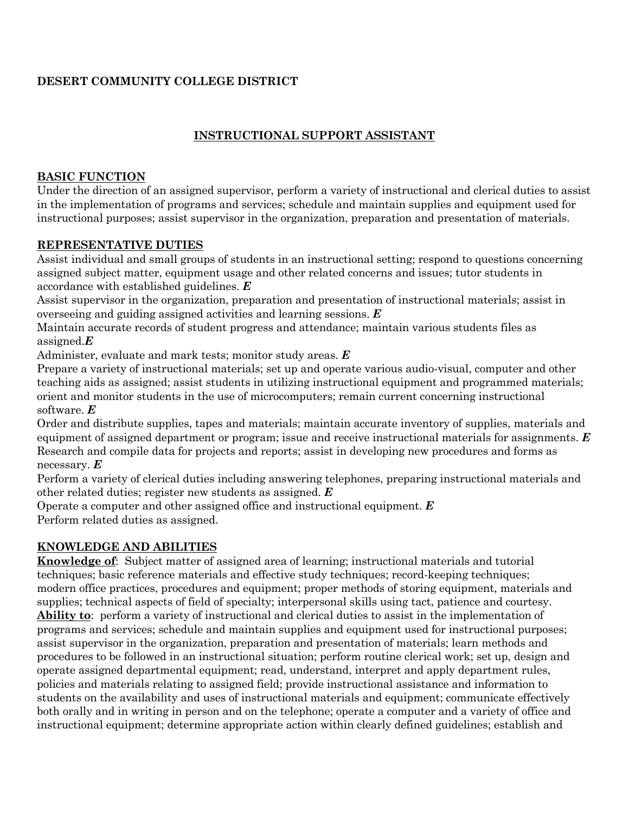# **DESERT COMMUNITY COLLEGE DISTRICT**

# **INSTRUCTIONAL SUPPORT ASSISTANT**

## **BASIC FUNCTION**

Under the direction of an assigned supervisor, perform a variety of instructional and clerical duties to assist in the implementation of programs and services; schedule and maintain supplies and equipment used for instructional purposes; assist supervisor in the organization, preparation and presentation of materials.

## **REPRESENTATIVE DUTIES**

Assist individual and small groups of students in an instructional setting; respond to questions concerning assigned subject matter, equipment usage and other related concerns and issues; tutor students in accordance with established guidelines. *E*

Assist supervisor in the organization, preparation and presentation of instructional materials; assist in overseeing and guiding assigned activities and learning sessions. *E*

Maintain accurate records of student progress and attendance; maintain various students files as assigned.*E*

Administer, evaluate and mark tests; monitor study areas. *E*

Prepare a variety of instructional materials; set up and operate various audio-visual, computer and other teaching aids as assigned; assist students in utilizing instructional equipment and programmed materials; orient and monitor students in the use of microcomputers; remain current concerning instructional software. *E*

Order and distribute supplies, tapes and materials; maintain accurate inventory of supplies, materials and equipment of assigned department or program; issue and receive instructional materials for assignments. *E* Research and compile data for projects and reports; assist in developing new procedures and forms as necessary. *E*

Perform a variety of clerical duties including answering telephones, preparing instructional materials and other related duties; register new students as assigned. *E*

Operate a computer and other assigned office and instructional equipment. *E* Perform related duties as assigned.

## **KNOWLEDGE AND ABILITIES**

**Knowledge of**: Subject matter of assigned area of learning; instructional materials and tutorial techniques; basic reference materials and effective study techniques; record-keeping techniques; modern office practices, procedures and equipment; proper methods of storing equipment, materials and supplies; technical aspects of field of specialty; interpersonal skills using tact, patience and courtesy. **Ability to**: perform a variety of instructional and clerical duties to assist in the implementation of programs and services; schedule and maintain supplies and equipment used for instructional purposes; assist supervisor in the organization, preparation and presentation of materials; learn methods and procedures to be followed in an instructional situation; perform routine clerical work; set up, design and operate assigned departmental equipment; read, understand, interpret and apply department rules, policies and materials relating to assigned field; provide instructional assistance and information to students on the availability and uses of instructional materials and equipment; communicate effectively both orally and in writing in person and on the telephone; operate a computer and a variety of office and instructional equipment; determine appropriate action within clearly defined guidelines; establish and